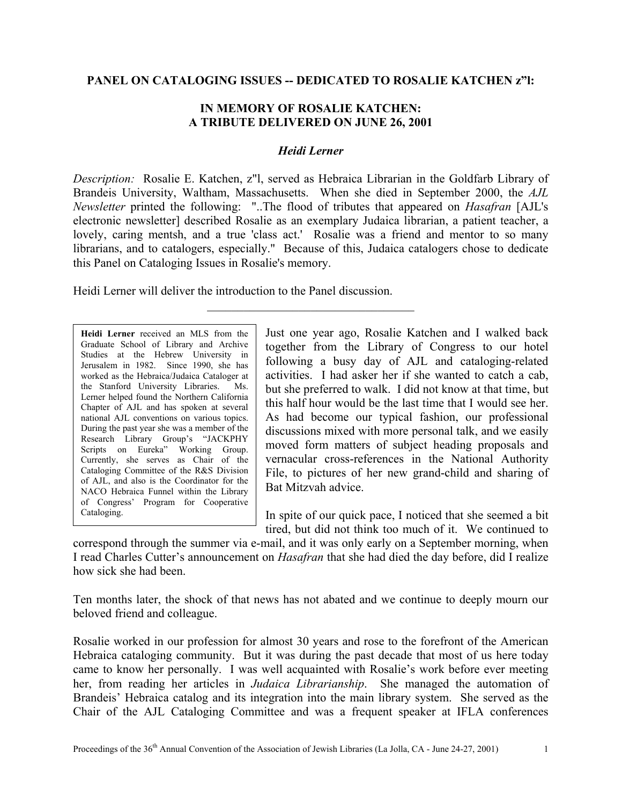## **PANEL ON CATALOGING ISSUES -- DEDICATED TO ROSALIE KATCHEN z"l:**

## **IN MEMORY OF ROSALIE KATCHEN: A TRIBUTE DELIVERED ON JUNE 26, 2001**

## *Heidi Lerner*

*Description:* Rosalie E. Katchen, z"l, served as Hebraica Librarian in the Goldfarb Library of Brandeis University, Waltham, Massachusetts. When she died in September 2000, the *AJL Newsletter* printed the following: "..The flood of tributes that appeared on *Hasafran* [AJL's electronic newsletter] described Rosalie as an exemplary Judaica librarian, a patient teacher, a lovely, caring mentsh, and a true 'class act.' Rosalie was a friend and mentor to so many librarians, and to catalogers, especially." Because of this, Judaica catalogers chose to dedicate this Panel on Cataloging Issues in Rosalie's memory.

 $\mathcal{L}_\text{max}$  , where  $\mathcal{L}_\text{max}$  and  $\mathcal{L}_\text{max}$  and  $\mathcal{L}_\text{max}$ 

Heidi Lerner will deliver the introduction to the Panel discussion.

**Heidi Lerner** received an MLS from the Graduate School of Library and Archive Studies at the Hebrew University in Jerusalem in 1982. Since 1990, she has worked as the Hebraica/Judaica Cataloger at the Stanford University Libraries. Ms. Lerner helped found the Northern California Chapter of AJL and has spoken at several national AJL conventions on various topics. During the past year she was a member of the Research Library Group's "JACKPHY Scripts on Eureka" Working Group. Currently, she serves as Chair of the Cataloging Committee of the R&S Division of AJL, and also is the Coordinator for the NACO Hebraica Funnel within the Library of Congress' Program for Cooperative Cataloging.

Just one year ago, Rosalie Katchen and I walked back together from the Library of Congress to our hotel following a busy day of AJL and cataloging-related activities. I had asker her if she wanted to catch a cab, but she preferred to walk. I did not know at that time, but this half hour would be the last time that I would see her. As had become our typical fashion, our professional discussions mixed with more personal talk, and we easily moved form matters of subject heading proposals and vernacular cross-references in the National Authority File, to pictures of her new grand-child and sharing of Bat Mitzvah advice.

In spite of our quick pace, I noticed that she seemed a bit tired, but did not think too much of it. We continued to

correspond through the summer via e-mail, and it was only early on a September morning, when I read Charles Cutter's announcement on *Hasafran* that she had died the day before, did I realize how sick she had been.

Ten months later, the shock of that news has not abated and we continue to deeply mourn our beloved friend and colleague.

Rosalie worked in our profession for almost 30 years and rose to the forefront of the American Hebraica cataloging community. But it was during the past decade that most of us here today came to know her personally. I was well acquainted with Rosalie's work before ever meeting her, from reading her articles in *Judaica Librarianship*. She managed the automation of Brandeis' Hebraica catalog and its integration into the main library system. She served as the Chair of the AJL Cataloging Committee and was a frequent speaker at IFLA conferences